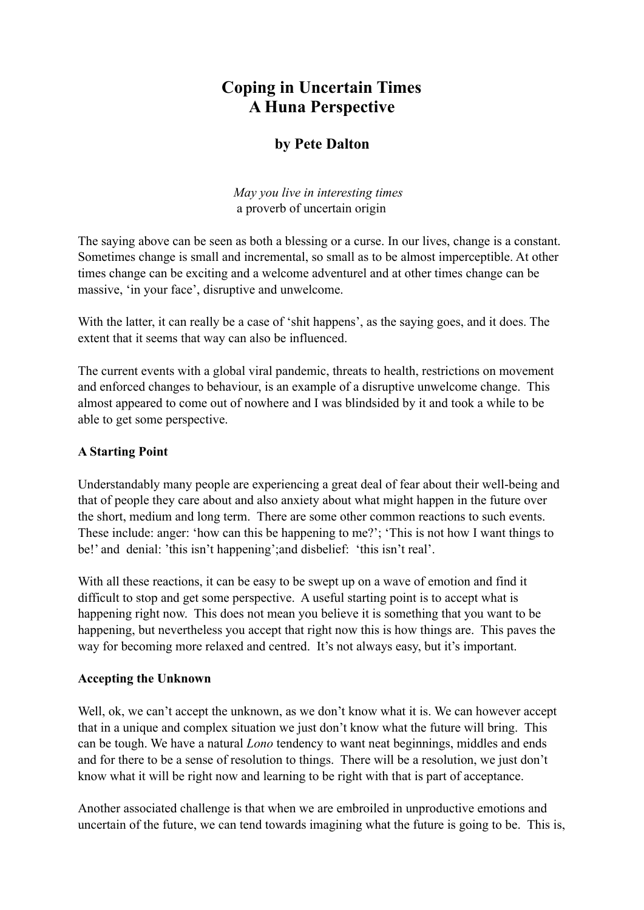# **Coping in Uncertain Times A Huna Perspective**

# **by Pete Dalton**

*May you live in interesting times*  a proverb of uncertain origin

The saying above can be seen as both a blessing or a curse. In our lives, change is a constant. Sometimes change is small and incremental, so small as to be almost imperceptible. At other times change can be exciting and a welcome adventurel and at other times change can be massive, 'in your face', disruptive and unwelcome.

With the latter, it can really be a case of 'shit happens', as the saying goes, and it does. The extent that it seems that way can also be influenced.

The current events with a global viral pandemic, threats to health, restrictions on movement and enforced changes to behaviour, is an example of a disruptive unwelcome change. This almost appeared to come out of nowhere and I was blindsided by it and took a while to be able to get some perspective.

#### **A Starting Point**

Understandably many people are experiencing a great deal of fear about their well-being and that of people they care about and also anxiety about what might happen in the future over the short, medium and long term. There are some other common reactions to such events. These include: anger: 'how can this be happening to me?'; 'This is not how I want things to be!' and denial: 'this isn't happening';and disbelief: 'this isn't real'.

With all these reactions, it can be easy to be swept up on a wave of emotion and find it difficult to stop and get some perspective. A useful starting point is to accept what is happening right now. This does not mean you believe it is something that you want to be happening, but nevertheless you accept that right now this is how things are. This paves the way for becoming more relaxed and centred. It's not always easy, but it's important.

## **Accepting the Unknown**

Well, ok, we can't accept the unknown, as we don't know what it is. We can however accept that in a unique and complex situation we just don't know what the future will bring. This can be tough. We have a natural *Lono* tendency to want neat beginnings, middles and ends and for there to be a sense of resolution to things. There will be a resolution, we just don't know what it will be right now and learning to be right with that is part of acceptance.

Another associated challenge is that when we are embroiled in unproductive emotions and uncertain of the future, we can tend towards imagining what the future is going to be. This is,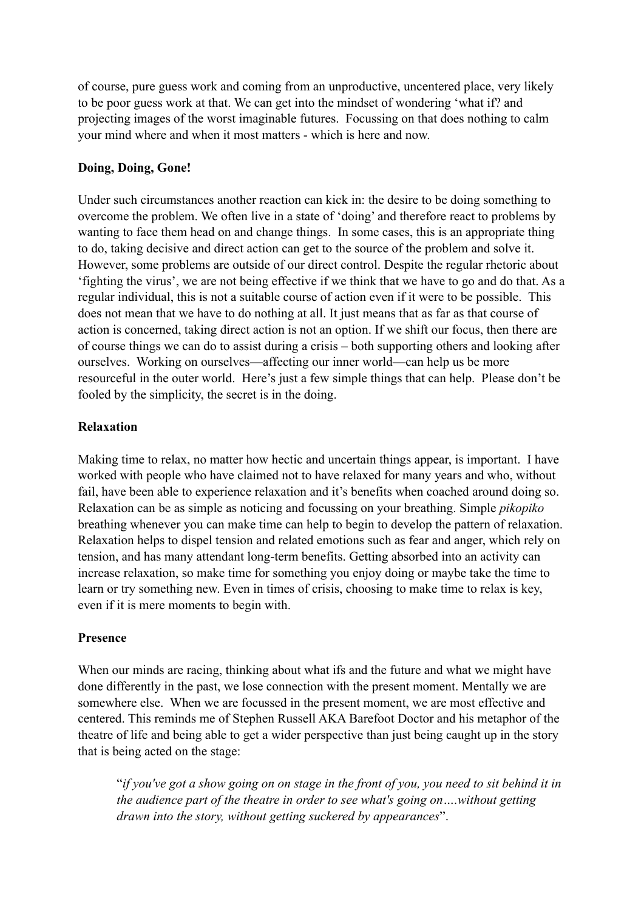of course, pure guess work and coming from an unproductive, uncentered place, very likely to be poor guess work at that. We can get into the mindset of wondering 'what if? and projecting images of the worst imaginable futures. Focussing on that does nothing to calm your mind where and when it most matters - which is here and now.

#### **Doing, Doing, Gone!**

Under such circumstances another reaction can kick in: the desire to be doing something to overcome the problem. We often live in a state of 'doing' and therefore react to problems by wanting to face them head on and change things. In some cases, this is an appropriate thing to do, taking decisive and direct action can get to the source of the problem and solve it. However, some problems are outside of our direct control. Despite the regular rhetoric about 'fighting the virus', we are not being effective if we think that we have to go and do that. As a regular individual, this is not a suitable course of action even if it were to be possible. This does not mean that we have to do nothing at all. It just means that as far as that course of action is concerned, taking direct action is not an option. If we shift our focus, then there are of course things we can do to assist during a crisis – both supporting others and looking after ourselves. Working on ourselves—affecting our inner world—can help us be more resourceful in the outer world. Here's just a few simple things that can help. Please don't be fooled by the simplicity, the secret is in the doing.

### **Relaxation**

Making time to relax, no matter how hectic and uncertain things appear, is important. I have worked with people who have claimed not to have relaxed for many years and who, without fail, have been able to experience relaxation and it's benefits when coached around doing so. Relaxation can be as simple as noticing and focussing on your breathing. Simple *pikopiko* breathing whenever you can make time can help to begin to develop the pattern of relaxation. Relaxation helps to dispel tension and related emotions such as fear and anger, which rely on tension, and has many attendant long-term benefits. Getting absorbed into an activity can increase relaxation, so make time for something you enjoy doing or maybe take the time to learn or try something new. Even in times of crisis, choosing to make time to relax is key, even if it is mere moments to begin with.

#### **Presence**

When our minds are racing, thinking about what ifs and the future and what we might have done differently in the past, we lose connection with the present moment. Mentally we are somewhere else. When we are focussed in the present moment, we are most effective and centered. This reminds me of Stephen Russell AKA Barefoot Doctor and his metaphor of the theatre of life and being able to get a wider perspective than just being caught up in the story that is being acted on the stage:

"*if you've got a show going on on stage in the front of you, you need to sit behind it in the audience part of the theatre in order to see what's going on….without getting drawn into the story, without getting suckered by appearances*".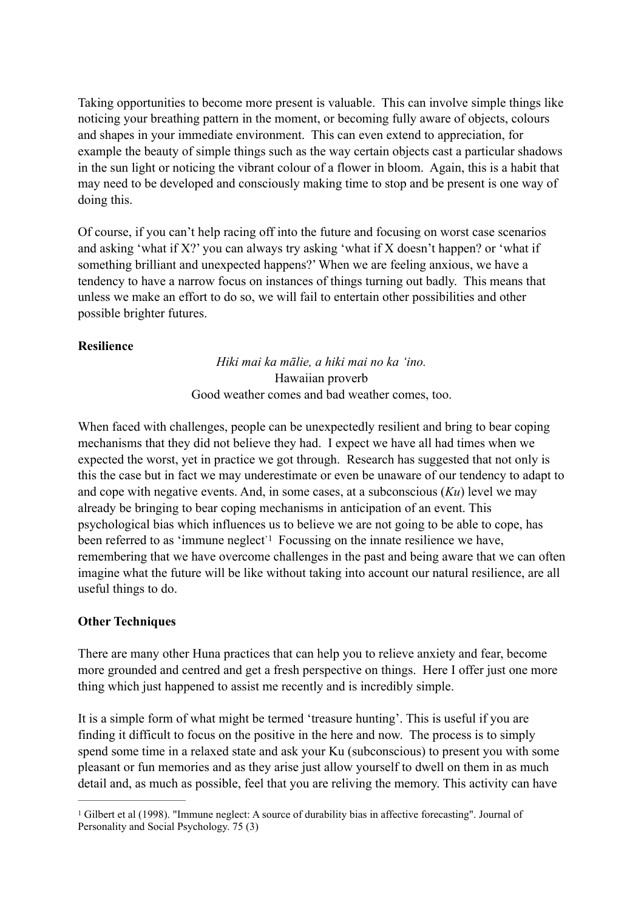Taking opportunities to become more present is valuable. This can involve simple things like noticing your breathing pattern in the moment, or becoming fully aware of objects, colours and shapes in your immediate environment. This can even extend to appreciation, for example the beauty of simple things such as the way certain objects cast a particular shadows in the sun light or noticing the vibrant colour of a flower in bloom. Again, this is a habit that may need to be developed and consciously making time to stop and be present is one way of doing this.

Of course, if you can't help racing off into the future and focusing on worst case scenarios and asking 'what if X?' you can always try asking 'what if X doesn't happen? or 'what if something brilliant and unexpected happens?' When we are feeling anxious, we have a tendency to have a narrow focus on instances of things turning out badly. This means that unless we make an effort to do so, we will fail to entertain other possibilities and other possible brighter futures.

#### **Resilience**

<span id="page-2-1"></span>*Hiki mai ka mālie, a hiki mai no ka 'ino.*  Hawaiian proverb Good weather comes and bad weather comes, too.

When faced with challenges, people can be unexpectedly resilient and bring to bear coping mechanisms that they did not believe they had. I expect we have all had times when we expected the worst, yet in practice we got through. Research has suggested that not only is this the case but in fact we may underestimate or even be unaware of our tendency to adapt to and cope with negative events. And, in some cases, at a subconscious (*Ku*) level we may already be bringing to bear coping mechanisms in anticipation of an event. This psychological bias which influences us to believe we are not going to be able to cope, has beenreferred to as 'immune neglect'<sup>[1](#page-2-0)</sup> Focussing on the innate resilience we have, remembering that we have overcome challenges in the past and being aware that we can often imagine what the future will be like without taking into account our natural resilience, are all useful things to do.

#### **Other Techniques**

There are many other Huna practices that can help you to relieve anxiety and fear, become more grounded and centred and get a fresh perspective on things. Here I offer just one more thing which just happened to assist me recently and is incredibly simple.

It is a simple form of what might be termed 'treasure hunting'. This is useful if you are finding it difficult to focus on the positive in the here and now. The process is to simply spend some time in a relaxed state and ask your Ku (subconscious) to present you with some pleasant or fun memories and as they arise just allow yourself to dwell on them in as much detail and, as much as possible, feel that you are reliving the memory. This activity can have

<span id="page-2-0"></span><sup>&</sup>lt;sup>[1](#page-2-1)</sup> Gilbert et al (1998). "Immune neglect: A source of durability bias in affective forecasting". Journal of Personality and Social Psychology. 75 (3)